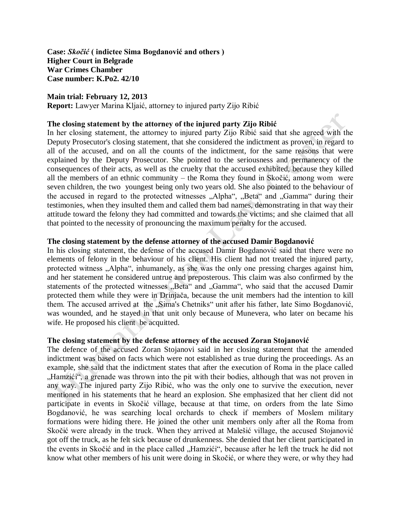**Case:** *Skočić* **( indictee Sima Bogdanović and others ) Higher Court in Belgrade War Crimes Chamber Case number: K.Po2. 42/10** 

### **Main trial: February 12, 2013**

**Report:** Lawyer Marina Kljaić, attorney to injured party Zijo Ribić

### **The closing statement by the attorney of the injured party Zijo Ribić**

In her closing statement, the attorney to injured party Zijo Ribić said that she agreed with the Deputy Prosecutor's closing statement, that she considered the indictment as proven, in regard to all of the accused, and on all the counts of the indictment, for the same reasons that were explained by the Deputy Prosecutor. She pointed to the seriousness and permanency of the consequences of their acts, as well as the cruelty that the accused exhibited, because they killed all the members of an ethnic community – the Roma they found in Skočić, among wom were seven children, the two youngest being only two years old. She also pointed to the behaviour of the accused in regard to the protected witnesses "Alpha", "Beta" and "Gamma" during their testimonies, when they insulted them and called them bad names, demonstrating in that way their attitude toward the felony they had committed and towards the victims; and she claimed that all that pointed to the necessity of pronouncing the maximum penalty for the accused.

# **The closing statement by the defense attorney of the accused Damir Bogdanović**

In his closing statement, the defense of the accused Damir Bogdanović said that there were no elements of felony in the behaviour of his client. His client had not treated the injured party, protected witness "Alpha", inhumanely, as she was the only one pressing charges against him, and her statement he considered untrue and preposterous. This claim was also confirmed by the statements of the protected witnesses "Beta" and "Gamma", who said that the accused Damir protected them while they were in Drinjača, because the unit members had the intention to kill them. The accused arrived at the "Sima's Chetniks" unit after his father, late Simo Bogdanović, was wounded, and he stayed in that unit only because of Munevera, who later on became his wife. He proposed his client be acquitted.

#### **The closing statement by the defense attorney of the accused Zoran Stojanović**

The defence of the accused Zoran Stojanovi said in her closing statement that the amended indictment was based on facts which were not established as true during the proceedings. As an example, she said that the indictment states that after the execution of Roma in the place called "Hamzići", a grenade was thrown into the pit with their bodies, although that was not proven in any way. The injured party Zijo Ribić, who was the only one to survive the execution, never mentioned in his statements that he heard an explosion. She emphasized that her client did not participate in events in Skočić village, because at that time, on orders from the late Simo Bogdanović, he was searching local orchards to check if members of Moslem military formations were hiding there. He joined the other unit members only after all the Roma from Skočić were already in the truck. When they arrived at Malešić village, the accused Stojanović got off the truck, as he felt sick because of drunkenness. She denied that her client participated in the events in Skočić and in the place called "Hamzići", because after he left the truck he did not know what other members of his unit were doing in Skočić, or where they were, or why they had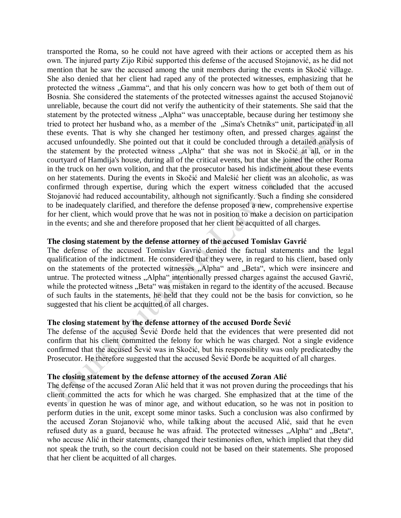transported the Roma, so he could not have agreed with their actions or accepted them as his own. The injured party Zijo Ribić supported this defense of the accused Stojanović, as he did not mention that he saw the accused among the unit members during the events in Skočić village. She also denied that her client had raped any of the protected witnesses, emphasizing that he protected the witness "Gamma", and that his only concern was how to get both of them out of Bosnia. She considered the statements of the protected witnesses against the accused Stojanović unreliable, because the court did not verify the authenticity of their statements. She said that the statement by the protected witness "Alpha" was unacceptable, because during her testimony she tried to protect her husband who, as a member of the "Sima's Chetniks" unit, participated in all these events. That is why she changed her testimony often, and pressed charges against the accused unfoundedly. She pointed out that it could be concluded through a detailed analysis of the statement by the protected witness "Alpha" that she was not in Skočić at all, or in the courtyard of Hamdija's house, during all of the critical events, but that she joined the other Roma in the truck on her own volition, and that the prosecutor based his indictment about these events on her statements. During the events in Skočić and Malešić her client was an alcoholic, as was confirmed through expertise, during which the expert witness concluded that the accused Stojanović had reduced accountability, although not significantly. Such a finding she considered to be inadequately clarified, and therefore the defense proposed a new, comprehensive expertise for her client, which would prove that he was not in position to make a decision on participation in the events; and she and therefore proposed that her client be acquitted of all charges.

# **The closing statement by the defense attorney of the accused Tomislav Gavrić**

The defense of the accused Tomislav Gavrić denied the factual statements and the legal qualification of the indictment. He considered that they were, in regard to his client, based only on the statements of the protected witnesses "Alpha" and "Beta", which were insincere and untrue. The protected witness ..Alpha" intentionally pressed charges against the accused Gavrić, while the protected witness "Beta" was mistaken in regard to the identity of the accused. Because of such faults in the statements, he held that they could not be the basis for conviction, so he suggested that his client be acquitted of all charges.

# **The closing statement by the defense attorney of the accused Đorđe Šević**

The defense of the accused Šević Đorđe held that the evidences that were presented did not confirm that his client committed the felony for which he was charged. Not a single evidence confirmed that the accused Šević was in Skočić, but his responsibility was only predicatedby the Prosecutor. He therefore suggested that the accused Šević Đorđe be acquitted of all charges.

### **The closing statement by the defense attorney of the accused Zoran Alić**

The defense of the accused Zoran Alić held that it was not proven during the proceedings that his client committed the acts for which he was charged. She emphasized that at the time of the events in question he was of minor age, and without education, so he was not in position to perform duties in the unit, except some minor tasks. Such a conclusion was also confirmed by the accused Zoran Stojanović who, while talking about the accused Alić, said that he even refused duty as a guard, because he was afraid. The protected witnesses "Alpha" and "Beta", who accuse Alić in their statements, changed their testimonies often, which implied that they did not speak the truth, so the court decision could not be based on their statements. She proposed that her client be acquitted of all charges.